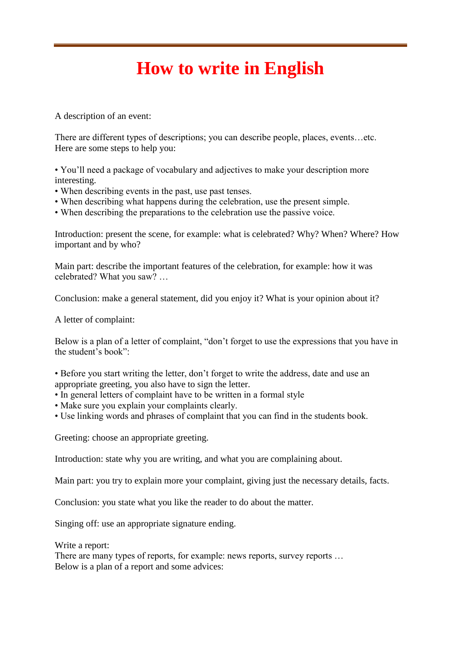## **How to write in English**

A description of an event:

There are different types of descriptions; you can describe people, places, events…etc. Here are some steps to help you:

• You'll need a package of vocabulary and adjectives to make your description more interesting.

- When describing events in the past, use past tenses.
- When describing what happens during the celebration, use the present simple.
- When describing the preparations to the celebration use the passive voice.

Introduction: present the scene, for example: what is celebrated? Why? When? Where? How important and by who?

Main part: describe the important features of the celebration, for example: how it was celebrated? What you saw? …

Conclusion: make a general statement, did you enjoy it? What is your opinion about it?

A letter of complaint:

Below is a plan of a letter of complaint, "don't forget to use the expressions that you have in the student's book":

• Before you start writing the letter, don't forget to write the address, date and use an appropriate greeting, you also have to sign the letter.

- In general letters of complaint have to be written in a formal style
- Make sure you explain your complaints clearly.
- Use linking words and phrases of complaint that you can find in the students book.

Greeting: choose an appropriate greeting.

Introduction: state why you are writing, and what you are complaining about.

Main part: you try to explain more your complaint, giving just the necessary details, facts.

Conclusion: you state what you like the reader to do about the matter.

Singing off: use an appropriate signature ending.

Write a report:

There are many types of reports, for example: news reports, survey reports … Below is a plan of a report and some advices: